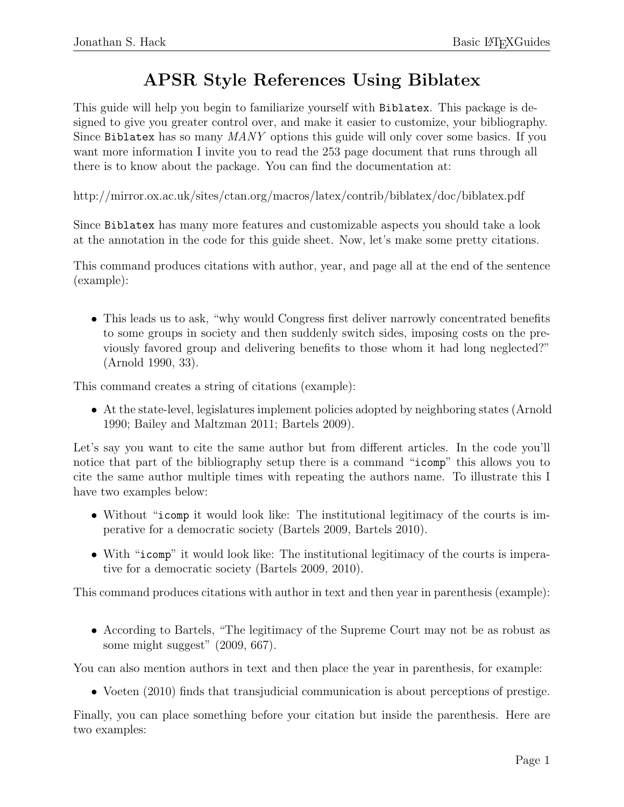## APSR Style References Using Biblatex

This guide will help you begin to familiarize yourself with Biblatex. This package is designed to give you greater control over, and make it easier to customize, your bibliography. Since Biblatex has so many MANY options this guide will only cover some basics. If you want more information I invite you to read the 253 page document that runs through all there is to know about the package. You can find the documentation at:

http://mirror.ox.ac.uk/sites/ctan.org/macros/latex/contrib/biblatex/doc/biblatex.pdf

Since Biblatex has many more features and customizable aspects you should take a look at the annotation in the code for this guide sheet. Now, let's make some pretty citations.

This command produces citations with author, year, and page all at the end of the sentence (example):

• This leads us to ask, "why would Congress first deliver narrowly concentrated benefits to some groups in society and then suddenly switch sides, imposing costs on the previously favored group and delivering benefits to those whom it had long neglected?" (Arnold 1990, 33).

This command creates a string of citations (example):

• At the state-level, legislatures implement policies adopted by neighboring states (Arnold 1990; Bailey and Maltzman 2011; Bartels 2009).

Let's say you want to cite the same author but from different articles. In the code you'll notice that part of the bibliography setup there is a command "icomp" this allows you to cite the same author multiple times with repeating the authors name. To illustrate this I have two examples below:

- Without "icomp it would look like: The institutional legitimacy of the courts is imperative for a democratic society (Bartels 2009, Bartels 2010).
- With "icomp" it would look like: The institutional legitimacy of the courts is imperative for a democratic society (Bartels 2009, 2010).

This command produces citations with author in text and then year in parenthesis (example):

• According to Bartels, "The legitimacy of the Supreme Court may not be as robust as some might suggest" (2009, 667).

You can also mention authors in text and then place the year in parenthesis, for example:

• Voeten (2010) finds that transjudicial communication is about perceptions of prestige.

Finally, you can place something before your citation but inside the parenthesis. Here are two examples: